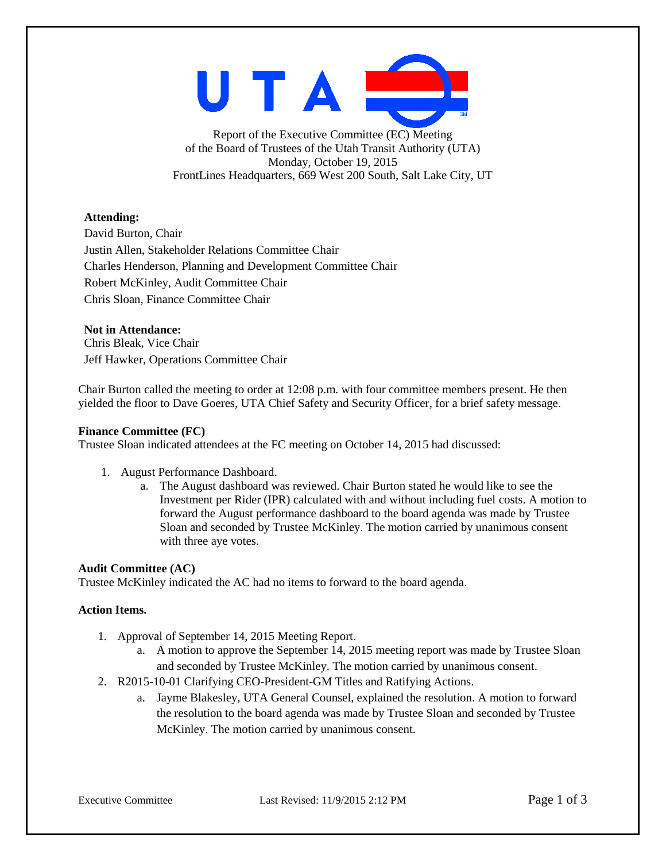

Report of the Executive Committee (EC) Meeting of the Board of Trustees of the Utah Transit Authority (UTA) Monday, October 19, 2015 FrontLines Headquarters, 669 West 200 South, Salt Lake City, UT

# **Attending:**

David Burton, Chair Justin Allen, Stakeholder Relations Committee Chair Charles Henderson, Planning and Development Committee Chair Robert McKinley, Audit Committee Chair Chris Sloan, Finance Committee Chair

# **Not in Attendance:**

Chris Bleak, Vice Chair Jeff Hawker, Operations Committee Chair

Chair Burton called the meeting to order at 12:08 p.m. with four committee members present. He then yielded the floor to Dave Goeres, UTA Chief Safety and Security Officer, for a brief safety message.

#### **Finance Committee (FC)**

Trustee Sloan indicated attendees at the FC meeting on October 14, 2015 had discussed:

- 1. August Performance Dashboard.
	- a. The August dashboard was reviewed. Chair Burton stated he would like to see the Investment per Rider (IPR) calculated with and without including fuel costs. A motion to forward the August performance dashboard to the board agenda was made by Trustee Sloan and seconded by Trustee McKinley. The motion carried by unanimous consent with three aye votes.

# **Audit Committee (AC)**

Trustee McKinley indicated the AC had no items to forward to the board agenda.

# **Action Items.**

- 1. Approval of September 14, 2015 Meeting Report.
	- a. A motion to approve the September 14, 2015 meeting report was made by Trustee Sloan and seconded by Trustee McKinley. The motion carried by unanimous consent.
- 2. R2015-10-01 Clarifying CEO-President-GM Titles and Ratifying Actions.
	- a. Jayme Blakesley, UTA General Counsel, explained the resolution. A motion to forward the resolution to the board agenda was made by Trustee Sloan and seconded by Trustee McKinley. The motion carried by unanimous consent.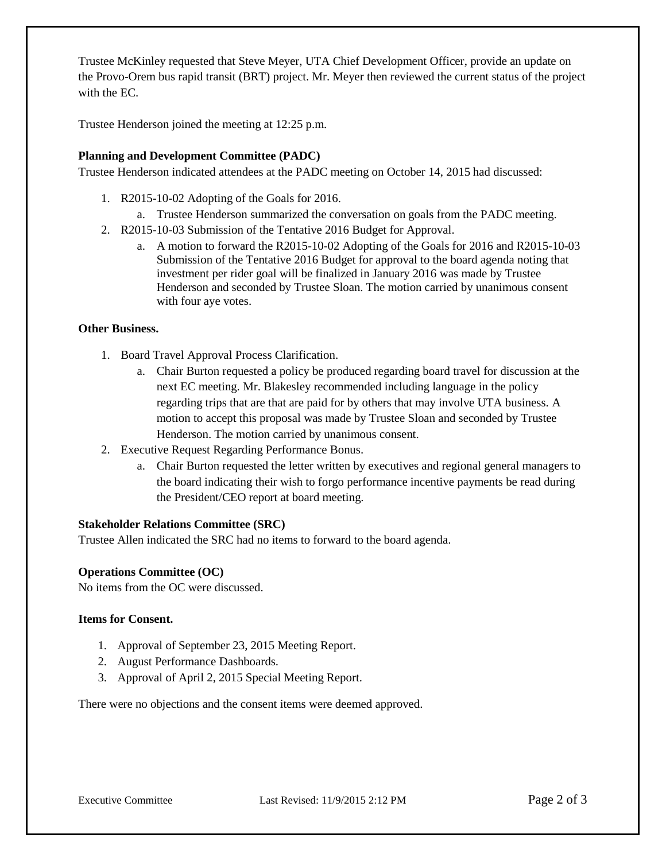Trustee McKinley requested that Steve Meyer, UTA Chief Development Officer, provide an update on the Provo-Orem bus rapid transit (BRT) project. Mr. Meyer then reviewed the current status of the project with the EC.

Trustee Henderson joined the meeting at 12:25 p.m.

# **Planning and Development Committee (PADC)**

Trustee Henderson indicated attendees at the PADC meeting on October 14, 2015 had discussed:

- 1. R2015-10-02 Adopting of the Goals for 2016.
	- a. Trustee Henderson summarized the conversation on goals from the PADC meeting.
- 2. R2015-10-03 Submission of the Tentative 2016 Budget for Approval.
	- a. A motion to forward the R2015-10-02 Adopting of the Goals for 2016 and R2015-10-03 Submission of the Tentative 2016 Budget for approval to the board agenda noting that investment per rider goal will be finalized in January 2016 was made by Trustee Henderson and seconded by Trustee Sloan. The motion carried by unanimous consent with four aye votes.

# **Other Business.**

- 1. Board Travel Approval Process Clarification.
	- a. Chair Burton requested a policy be produced regarding board travel for discussion at the next EC meeting. Mr. Blakesley recommended including language in the policy regarding trips that are that are paid for by others that may involve UTA business. A motion to accept this proposal was made by Trustee Sloan and seconded by Trustee Henderson. The motion carried by unanimous consent.
- 2. Executive Request Regarding Performance Bonus.
	- a. Chair Burton requested the letter written by executives and regional general managers to the board indicating their wish to forgo performance incentive payments be read during the President/CEO report at board meeting.

# **Stakeholder Relations Committee (SRC)**

Trustee Allen indicated the SRC had no items to forward to the board agenda.

# **Operations Committee (OC)**

No items from the OC were discussed.

# **Items for Consent.**

- 1. Approval of September 23, 2015 Meeting Report.
- 2. August Performance Dashboards.
- 3. Approval of April 2, 2015 Special Meeting Report.

There were no objections and the consent items were deemed approved.